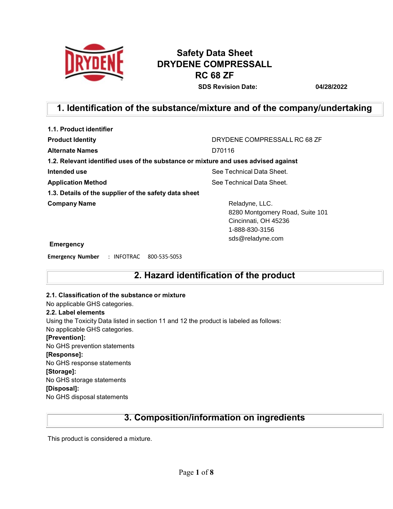

# **Safety Data Sheet DRYDENE COMPRESSALL RC 68 ZF**

**SDS Revision Date: 04/28/2022**

## **1. Identification of the substance/mixture and of the company/undertaking**

| 1.1. Product identifier                                                            |                                                                                                                 |
|------------------------------------------------------------------------------------|-----------------------------------------------------------------------------------------------------------------|
| <b>Product Identity</b>                                                            | DRYDENE COMPRESSALL RC 68 ZF                                                                                    |
| <b>Alternate Names</b>                                                             | D70116                                                                                                          |
| 1.2. Relevant identified uses of the substance or mixture and uses advised against |                                                                                                                 |
| Intended use                                                                       | See Technical Data Sheet.                                                                                       |
| <b>Application Method</b>                                                          | See Technical Data Sheet.                                                                                       |
| 1.3. Details of the supplier of the safety data sheet                              |                                                                                                                 |
| <b>Company Name</b>                                                                | Reladyne, LLC.<br>8280 Montgomery Road, Suite 101<br>Cincinnati, OH 45236<br>1-888-830-3156<br>sds@reladyne.com |
|                                                                                    |                                                                                                                 |

**Emergency**

**Emergency Number** : INFOTRAC 800-535-5053

## **2. Hazard identification of the product**

#### **2.1. Classification of the substance or mixture**

No applicable GHS categories.

#### **2.2. Label elements**

Using the Toxicity Data listed in section 11 and 12 the product is labeled as follows:

No applicable GHS categories.

#### **[Prevention]:**

No GHS prevention statements

#### **[Response]:**

No GHS response statements

#### **[Storage]:**

No GHS storage statements

#### **[Disposal]:**

No GHS disposal statements

## **3. Composition/information on ingredients**

This product is considered a mixture.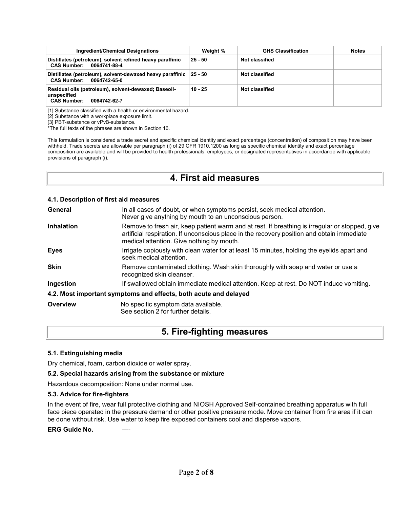| Ingredient/Chemical Designations                                                                          | Weight %  | <b>GHS Classification</b> | <b>Notes</b> |
|-----------------------------------------------------------------------------------------------------------|-----------|---------------------------|--------------|
| Distillates (petroleum), solvent refined heavy paraffinic<br>CAS Number: 0064741-88-4                     | $25 - 50$ | Not classified            |              |
| Distillates (petroleum), solvent-dewaxed heavy paraffinic 25 - 50<br>CAS Number: 0064742-65-0             |           | Not classified            |              |
| Residual oils (petroleum), solvent-dewaxed; Baseoil-<br>unspecified<br><b>CAS Number:</b><br>0064742-62-7 | $10 - 25$ | Not classified            |              |

[1] Substance classified with a health or environmental hazard.

[2] Substance with a workplace exposure limit.

[3] PBT-substance or vPvB-substance.

\*The full texts of the phrases are shown in Section 16.

This formulation is considered a trade secret and specific chemical identity and exact percentage (concentration) of composition may have been withheld. Trade secrets are allowable per paragraph (i) of 29 CFR 1910.1200 as long as specific chemical identity and exact percentage composition are available and will be provided to health professionals, employees, or designated representatives in accordance with applicable provisions of paragraph (i).

### **4. First aid measures**

#### **4.1. Description of first aid measures**

| General           | In all cases of doubt, or when symptoms persist, seek medical attention.<br>Never give anything by mouth to an unconscious person.                                                                                                        |  |
|-------------------|-------------------------------------------------------------------------------------------------------------------------------------------------------------------------------------------------------------------------------------------|--|
| <b>Inhalation</b> | Remove to fresh air, keep patient warm and at rest. If breathing is irregular or stopped, give<br>artificial respiration. If unconscious place in the recovery position and obtain immediate<br>medical attention. Give nothing by mouth. |  |
| <b>Eyes</b>       | Irrigate copiously with clean water for at least 15 minutes, holding the eyelids apart and<br>seek medical attention.                                                                                                                     |  |
| <b>Skin</b>       | Remove contaminated clothing. Wash skin thoroughly with soap and water or use a<br>recognized skin cleanser.                                                                                                                              |  |
| Ingestion         | If swallowed obtain immediate medical attention. Keep at rest. Do NOT induce vomiting.                                                                                                                                                    |  |
|                   | 4.2. Most important symptoms and effects, both acute and delayed                                                                                                                                                                          |  |
| Overview          | No specific symptom data available.<br>See section 2 for further details.                                                                                                                                                                 |  |

### **5. Fire-fighting measures**

#### **5.1. Extinguishing media**

Dry chemical, foam, carbon dioxide or water spray.

#### **5.2. Special hazards arising from the substance or mixture**

Hazardous decomposition: None under normal use.

#### **5.3. Advice for fire-fighters**

In the event of fire, wear full protective clothing and NIOSH Approved Self-contained breathing apparatus with full face piece operated in the pressure demand or other positive pressure mode. Move container from fire area if it can be done without risk. Use water to keep fire exposed containers cool and disperse vapors.

**ERG** Guide No.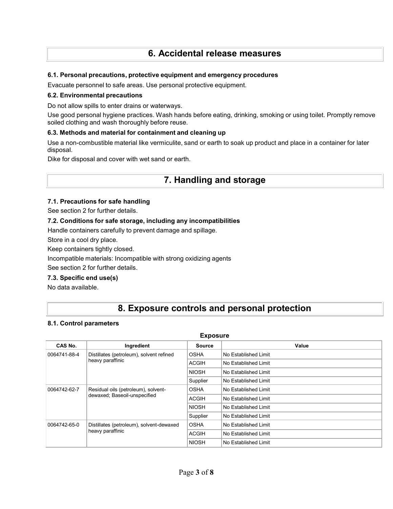## **6. Accidental release measures**

#### **6.1. Personal precautions, protective equipment and emergency procedures**

Evacuate personnel to safe areas. Use personal protective equipment.

#### **6.2. Environmental precautions**

Do not allow spills to enter drains or waterways.

Use good personal hygiene practices. Wash hands before eating, drinking, smoking or using toilet. Promptly remove soiled clothing and wash thoroughly before reuse.

#### **6.3. Methods and material for containment and cleaning up**

Use a non-combustible material like vermiculite, sand or earth to soak up product and place in a container for later disposal.

Dike for disposal and cover with wet sand or earth.

### **7. Handling and storage**

#### **7.1. Precautions for safe handling**

See section 2 for further details.

#### **7.2. Conditions for safe storage, including any incompatibilities**

Handle containers carefully to prevent damage and spillage.

Store in a cool dry place.

Keep containers tightly closed.

Incompatible materials: Incompatible with strong oxidizing agents

See section 2 for further details.

#### **7.3. Specific end use(s)**

No data available.

## **8. Exposure controls and personal protection**

#### **8.1. Control parameters**

#### **Exposure**

| CAS No.                                                                             | Ingredient       | <b>Source</b>        | Value                |
|-------------------------------------------------------------------------------------|------------------|----------------------|----------------------|
| Distillates (petroleum), solvent refined<br>0064741-88-4                            | <b>OSHA</b>      | No Established Limit |                      |
|                                                                                     | heavy paraffinic | <b>ACGIH</b>         | No Established Limit |
|                                                                                     |                  | <b>NIOSH</b>         | No Established Limit |
|                                                                                     |                  | Supplier             | No Established Limit |
| Residual oils (petroleum), solvent-<br>0064742-62-7<br>dewaxed; Baseoil-unspecified | <b>OSHA</b>      | No Established Limit |                      |
|                                                                                     | <b>ACGIH</b>     | No Established Limit |                      |
|                                                                                     | <b>NIOSH</b>     | No Established Limit |                      |
|                                                                                     |                  | Supplier             | No Established Limit |
| Distillates (petroleum), solvent-dewaxed<br>0064742-65-0<br>heavy paraffinic        | <b>OSHA</b>      | No Established Limit |                      |
|                                                                                     | <b>ACGIH</b>     | No Established Limit |                      |
|                                                                                     |                  | <b>NIOSH</b>         | No Established Limit |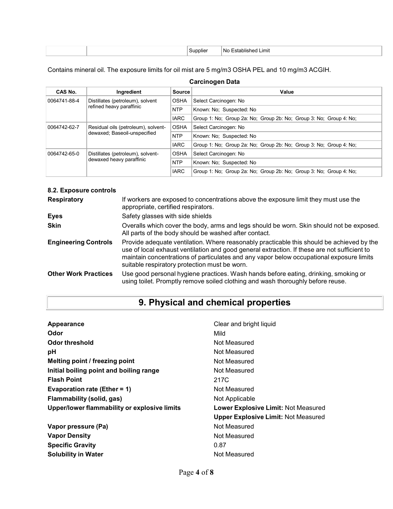|  | ше | .imit<br>-NG |
|--|----|--------------|
|  |    |              |

Contains mineral oil. The exposure limits for oil mist are 5 mg/m3 OSHA PEL and 10 mg/m3 ACGIH.

#### **Carcinogen Data**

| CAS No.                      | Ingredient                                         | <b>Source</b> | Value                                                              |
|------------------------------|----------------------------------------------------|---------------|--------------------------------------------------------------------|
| 0064741-88-4                 | Distillates (petroleum), solvent                   | <b>OSHA</b>   | Select Carcinogen: No                                              |
|                              | refined heavy paraffinic                           |               | Known: No: Suspected: No                                           |
|                              |                                                    | <b>IARC</b>   | Group 1: No; Group 2a: No; Group 2b: No; Group 3: No; Group 4: No; |
| 0064742-62-7                 | <b>OSHA</b><br>Residual oils (petroleum), solvent- |               | Select Carcinogen: No                                              |
| dewaxed; Baseoil-unspecified |                                                    | <b>NTP</b>    | Known: No: Suspected: No                                           |
|                              |                                                    | <b>IARC</b>   | Group 1: No: Group 2a: No: Group 2b: No: Group 3: No: Group 4: No: |
| 0064742-65-0                 | Distillates (petroleum), solvent-                  | <b>OSHA</b>   | Select Carcinogen: No                                              |
| dewaxed heavy paraffinic     |                                                    | <b>NTP</b>    | Known: No: Suspected: No                                           |
|                              |                                                    | <b>IARC</b>   | Group 1: No; Group 2a: No; Group 2b: No; Group 3: No; Group 4: No; |

#### **8.2. Exposure controls**

| <b>Respiratory</b>          | If workers are exposed to concentrations above the exposure limit they must use the<br>appropriate, certified respirators.                                                                                                                                                                                                             |
|-----------------------------|----------------------------------------------------------------------------------------------------------------------------------------------------------------------------------------------------------------------------------------------------------------------------------------------------------------------------------------|
| Eyes                        | Safety glasses with side shields                                                                                                                                                                                                                                                                                                       |
| <b>Skin</b>                 | Overalls which cover the body, arms and legs should be worn. Skin should not be exposed.<br>All parts of the body should be washed after contact.                                                                                                                                                                                      |
| <b>Engineering Controls</b> | Provide adequate ventilation. Where reasonably practicable this should be achieved by the<br>use of local exhaust ventilation and good general extraction. If these are not sufficient to<br>maintain concentrations of particulates and any vapor below occupational exposure limits<br>suitable respiratory protection must be worn. |
| <b>Other Work Practices</b> | Use good personal hygiene practices. Wash hands before eating, drinking, smoking or<br>using toilet. Promptly remove soiled clothing and wash thoroughly before reuse.                                                                                                                                                                 |

# **9. Physical and chemical properties**

| Appearance                                   | Clear and bright liquid                    |
|----------------------------------------------|--------------------------------------------|
| Odor                                         | Mild                                       |
| Odor threshold                               | Not Measured                               |
| рH                                           | Not Measured                               |
| Melting point / freezing point               | Not Measured                               |
| Initial boiling point and boiling range      | Not Measured                               |
| <b>Flash Point</b>                           | 217C                                       |
| Evaporation rate (Ether = 1)                 | Not Measured                               |
| Flammability (solid, gas)                    | Not Applicable                             |
| Upper/lower flammability or explosive limits | <b>Lower Explosive Limit: Not Measured</b> |
|                                              | <b>Upper Explosive Limit: Not Measured</b> |
| Vapor pressure (Pa)                          | Not Measured                               |
| <b>Vapor Density</b>                         | Not Measured                               |
| <b>Specific Gravity</b>                      | 0.87                                       |
| <b>Solubility in Water</b>                   | Not Measured                               |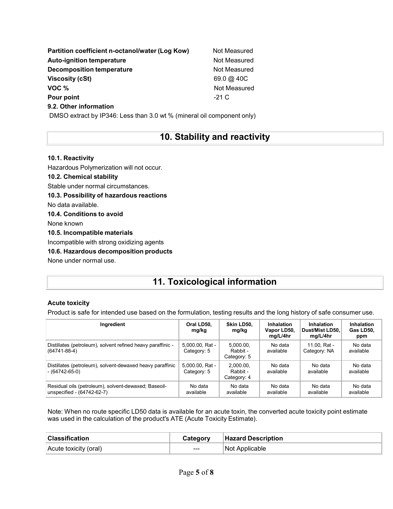| Partition coefficient n-octanol/water (Log Kow) | Not Measured      |
|-------------------------------------------------|-------------------|
| <b>Auto-ignition temperature</b>                | Not Measured      |
| <b>Decomposition temperature</b>                | Not Measured      |
| <b>Viscosity (cSt)</b>                          | $69.0 \omega$ 40C |
| VOC %                                           | Not Measured      |
| Pour point                                      | $-21C$            |
| 9.2. Other information                          |                   |

DMSO extract by IP346: Less than 3.0 wt % (mineral oil component only)

## **10. Stability and reactivity**

#### **10.1. Reactivity**

Hazardous Polymerization will not occur. **10.2. Chemical stability** Stable under normal circumstances.

**10.3. Possibility of hazardous reactions**

No data available.

**10.4. Conditions to avoid** None known

**10.5. Incompatible materials**

Incompatible with strong oxidizing agents

**10.6. Hazardous decomposition products**

None under normal use.

# **11. Toxicological information**

#### **Acute toxicity**

Product is safe for intended use based on the formulation, testing results and the long history of safe consumer use.

| Ingredient                                                                         | Oral LD50,<br>mg/kg            | Skin LD50,<br>mg/kg                  | <b>Inhalation</b><br>Vapor LD50,<br>mg/L/4hr | Inhalation<br>Dust/Mist LD50.<br>mg/L/4hr | <b>Inhalation</b><br>Gas LD50,<br>ppm |
|------------------------------------------------------------------------------------|--------------------------------|--------------------------------------|----------------------------------------------|-------------------------------------------|---------------------------------------|
| Distillates (petroleum), solvent refined heavy paraffinic -<br>$(64741 - 88 - 4)$  | 5.000.00, Rat -<br>Category: 5 | 5.000.00.<br>Rabbit -<br>Category: 5 | No data<br>available                         | 11.00. Rat -<br>Category: NA              | No data<br>available                  |
| Distillates (petroleum), solvent-dewaxed heavy paraffinic<br>$-(64742-65-0)$       | 5.000.00, Rat -<br>Category: 5 | 2.000.00.<br>Rabbit -<br>Category: 4 | No data<br>available                         | No data<br>available                      | No data<br>available                  |
| Residual oils (petroleum), solvent-dewaxed; Baseoil-<br>unspecified - (64742-62-7) | No data<br>available           | No data<br>available                 | No data<br>available                         | No data<br>available                      | No data<br>available                  |

Note: When no route specific LD50 data is available for an acute toxin, the converted acute toxicity point estimate was used in the calculation of the product's ATE (Acute Toxicity Estimate).

| <b>Classification</b> | Category | <b>Hazard Description</b> |
|-----------------------|----------|---------------------------|
| Acute toxicity (oral) | $--$     | Not Applicable            |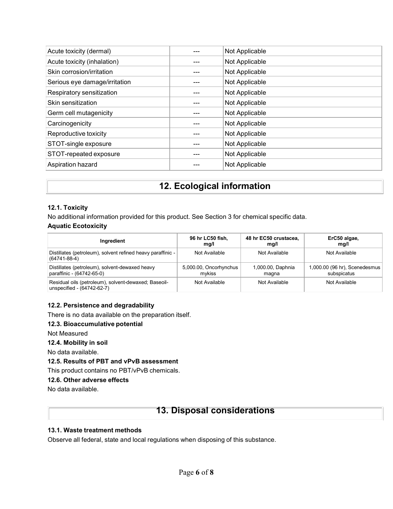| Acute toxicity (dermal)       | Not Applicable |
|-------------------------------|----------------|
| Acute toxicity (inhalation)   | Not Applicable |
| Skin corrosion/irritation     | Not Applicable |
| Serious eye damage/irritation | Not Applicable |
| Respiratory sensitization     | Not Applicable |
| Skin sensitization            | Not Applicable |
| Germ cell mutagenicity        | Not Applicable |
| Carcinogenicity               | Not Applicable |
| Reproductive toxicity         | Not Applicable |
| STOT-single exposure          | Not Applicable |
| STOT-repeated exposure        | Not Applicable |
| Aspiration hazard             | Not Applicable |
|                               |                |

## **12. Ecological information**

#### **12.1. Toxicity**

No additional information provided for this product. See Section 3 for chemical specific data.

#### **Aquatic Ecotoxicity**

| Ingredient                                                                         | 96 hr LC50 fish,       | 48 hr EC50 crustacea, | ErC50 algae,                  |
|------------------------------------------------------------------------------------|------------------------|-----------------------|-------------------------------|
|                                                                                    | mq/l                   | mg/l                  | mg/l                          |
| Distillates (petroleum), solvent refined heavy paraffinic -<br>$(64741 - 88 - 4)$  | Not Available          | Not Available         | Not Available                 |
| Distillates (petroleum), solvent-dewaxed heavy                                     | 5,000.00, Oncorhynchus | 1,000.00, Daphnia     | 1,000.00 (96 hr), Scenedesmus |
| paraffinic - (64742-65-0)                                                          | mvkiss                 | magna                 | subspicatus                   |
| Residual oils (petroleum), solvent-dewaxed; Baseoil-<br>unspecified - (64742-62-7) | Not Available          | Not Available         | Not Available                 |

#### **12.2. Persistence and degradability**

There is no data available on the preparation itself.

#### **12.3. Bioaccumulative potential**

Not Measured

#### **12.4. Mobility in soil**

No data available.

#### **12.5. Results of PBT and vPvB assessment**

This product contains no PBT/vPvB chemicals.

#### **12.6. Other adverse effects**

No data available.

### **13. Disposal considerations**

#### **13.1. Waste treatment methods**

Observe all federal, state and local regulations when disposing of this substance.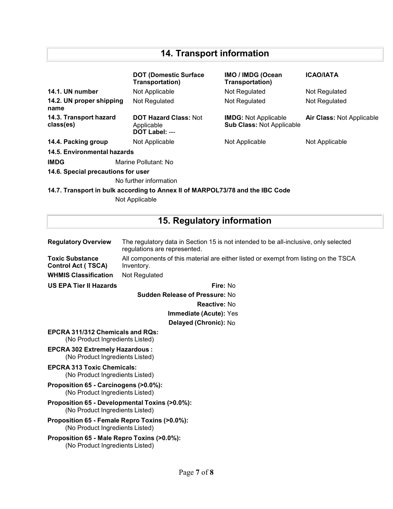# **14. Transport information**

|                                     | <b>DOT (Domestic Surface)</b><br>Transportation)                              | <b>IMO / IMDG (Ocean</b><br>Transportation)                     | <b>ICAO/IATA</b>          |
|-------------------------------------|-------------------------------------------------------------------------------|-----------------------------------------------------------------|---------------------------|
| 14.1. UN number                     | Not Applicable                                                                | Not Regulated                                                   | Not Regulated             |
| 14.2. UN proper shipping<br>name    | Not Regulated                                                                 | Not Regulated                                                   | Not Regulated             |
| 14.3. Transport hazard<br>class(es) | <b>DOT Hazard Class: Not</b><br>Applicable<br>DOT Label: ---                  | <b>IMDG: Not Applicable</b><br><b>Sub Class: Not Applicable</b> | Air Class: Not Applicable |
| 14.4. Packing group                 | Not Applicable                                                                | Not Applicable                                                  | Not Applicable            |
| 14.5. Environmental hazards         |                                                                               |                                                                 |                           |
| <b>IMDG</b>                         | Marine Pollutant: No                                                          |                                                                 |                           |
| 14.6. Special precautions for user  |                                                                               |                                                                 |                           |
|                                     | No further information                                                        |                                                                 |                           |
|                                     | 14.7. Transport in bulk according to Annex II of MARPOL73/78 and the IBC Code |                                                                 |                           |

Not Applicable

# **15. Regulatory information**

| <b>Regulatory Overview</b>                                                        | The regulatory data in Section 15 is not intended to be all-inclusive, only selected<br>regulations are represented. |  |  |  |
|-----------------------------------------------------------------------------------|----------------------------------------------------------------------------------------------------------------------|--|--|--|
| <b>Toxic Substance</b><br><b>Control Act (TSCA)</b>                               | All components of this material are either listed or exempt from listing on the TSCA<br>Inventory.                   |  |  |  |
| <b>WHMIS Classification</b>                                                       | Not Regulated                                                                                                        |  |  |  |
| <b>US EPA Tier II Hazards</b>                                                     | Fire: No                                                                                                             |  |  |  |
| <b>Sudden Release of Pressure: No</b>                                             |                                                                                                                      |  |  |  |
| <b>Reactive: No</b>                                                               |                                                                                                                      |  |  |  |
| Immediate (Acute): Yes                                                            |                                                                                                                      |  |  |  |
| Delayed (Chronic): No                                                             |                                                                                                                      |  |  |  |
| <b>EPCRA 311/312 Chemicals and RQs:</b><br>(No Product Ingredients Listed)        |                                                                                                                      |  |  |  |
| <b>EPCRA 302 Extremely Hazardous:</b><br>(No Product Ingredients Listed)          |                                                                                                                      |  |  |  |
| <b>EPCRA 313 Toxic Chemicals:</b><br>(No Product Ingredients Listed)              |                                                                                                                      |  |  |  |
| Proposition 65 - Carcinogens (>0.0%):<br>(No Product Ingredients Listed)          |                                                                                                                      |  |  |  |
| Proposition 65 - Developmental Toxins (>0.0%):<br>(No Product Ingredients Listed) |                                                                                                                      |  |  |  |
| Proposition 65 - Female Repro Toxins (>0.0%):<br>(No Product Ingredients Listed)  |                                                                                                                      |  |  |  |
| Proposition 65 - Male Repro Toxins (>0.0%):<br>(No Product Ingredients Listed)    |                                                                                                                      |  |  |  |